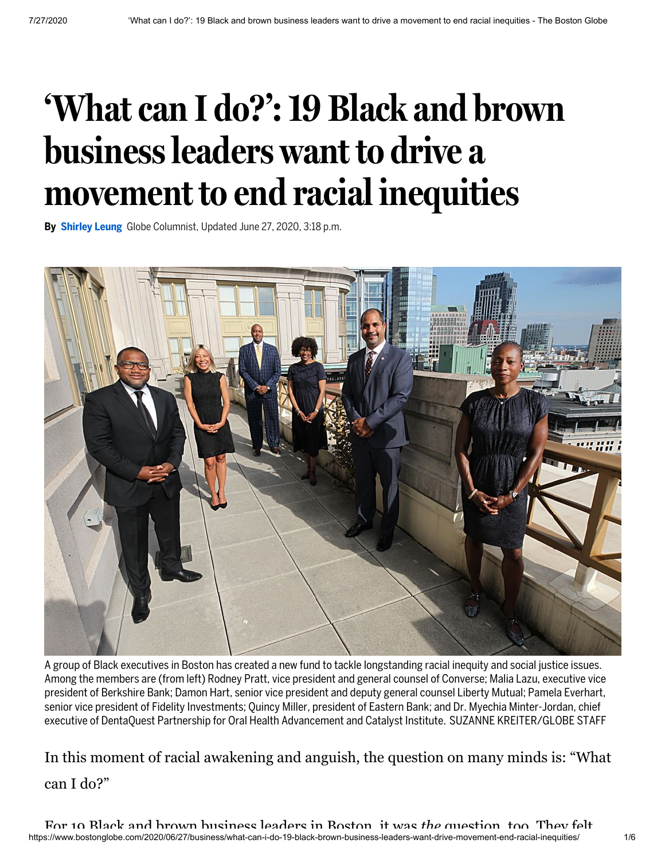## **'Whatcan I do?':19 Black and brown businessleaders want to drive a movement to end racial inequities**

**By [Shirley](https://www.bostonglobe.com/about/staff-list/columnist/shirley-leung/?p1=Article_Byline) Leung** Globe Columnist, Updated June 27, 2020, 3:18 p.m.



A group of Black executives in Boston has created a new fund to tackle longstanding racial inequity and social justice issues. Among the members are (from left) Rodney Pratt, vice president and general counsel of Converse; Malia Lazu, executive vice president of Berkshire Bank; Damon Hart, senior vice president and deputy general counsel Liberty Mutual; Pamela Everhart, senior vice president of Fidelity Investments; Quincy Miller, president of Eastern Bank; and Dr. Myechia Minter-Jordan, chief executive of DentaQuest Partnership for Oral Health Advancement and Catalyst Institute. SUZANNE KREITER/GLOBE STAFF

In this moment of racial awakening and anguish, the question on many minds is: "What can I do?"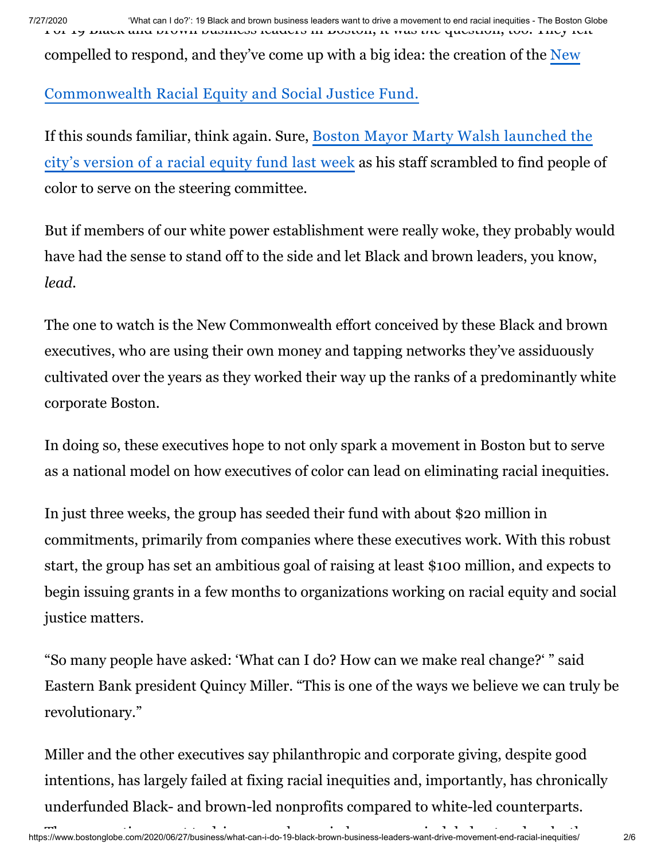7/27/2020 'What can I do?': 19 Black and brown business leaders want to drive a movement to end racial inequities - The Boston Globe For 19 Black and brown business leaders in Boston, it was *the* question, too. They felt

[compelled to respond, and they've come up with a big idea: the creation of the New](https://www.tbf.org/donors/forms/new-commonwealth-fund)

## Commonwealth Racial Equity and Social Justice Fund.

[If this sounds familiar, think again. Sure, Boston](https://www.bostonglobe.com/2020/06/25/business/mayor-walsh-launches-fund-address-racial-inequity/?p1=Article_Inline_Text_Link) Mayor Marty Walsh launched the city's version of a racial equity fund last week as his staff scrambled to find people of color to serve on the steering committee.

But if members of our white power establishment were really woke, they probably would have had the sense to stand off to the side and let Black and brown leaders, you know, *lead.*

The one to watch is the New Commonwealth effort conceived by these Black and brown executives, who are using their own money and tapping networks they've assiduously cultivated over the years as they worked their way up the ranks of a predominantly white corporate Boston.

In doing so, these executives hope to not only spark a movement in Boston but to serve as a national model on how executives of color can lead on eliminating racial inequities.

In just three weeks, the group has seeded their fund with about \$20 million in commitments, primarily from companies where these executives work. With this robust start, the group has set an ambitious goal of raising at least \$100 million, and expects to begin issuing grants in a few months to organizations working on racial equity and social justice matters.

"So many people have asked: 'What can I do? How can we make real change?' " said Eastern Bank president Quincy Miller. "This is one of the ways we believe we can truly be revolutionary."

Miller and the other executives say philanthropic and corporate giving, despite good intentions, has largely failed at fixing racial inequities and, importantly, has chronically underfunded Black- and brown-led nonprofits compared to white-led counterparts.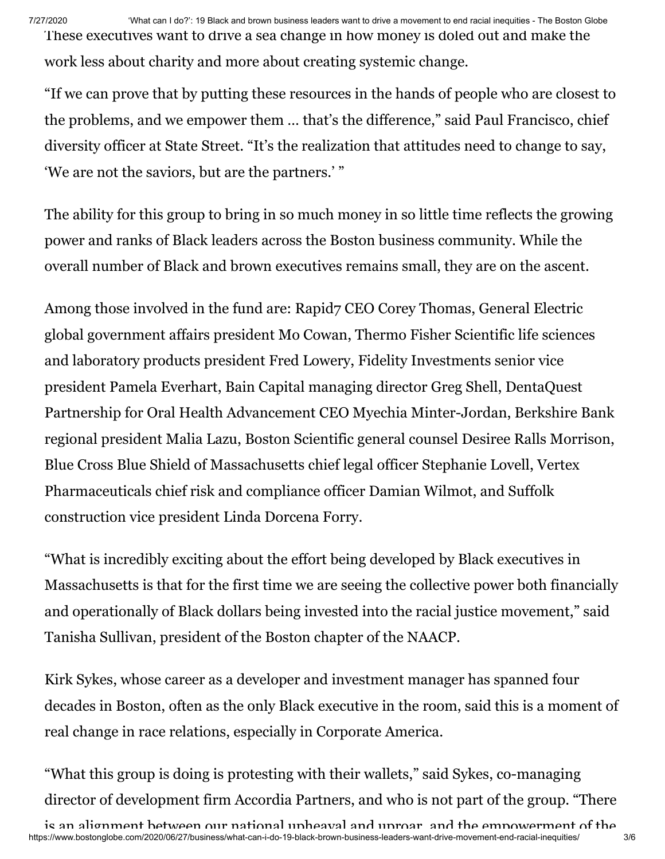7/27/2020 'What can I do?': 19 Black and brown business leaders want to drive a movement to end racial inequities - The Boston Globe These executives want to drive a sea change in how money is doled out and make the work less about charity and more about creating systemic change.

"If we can prove that by putting these resources in the hands of people who are closest to the problems, and we empower them … that's the difference," said Paul Francisco, chief diversity officer at State Street. "It's the realization that attitudes need to change to say, 'We are not the saviors, but are the partners.' "

The ability for this group to bring in so much money in so little time reflects the growing power and ranks of Black leaders across the Boston business community. While the overall number of Black and brown executives remains small, they are on the ascent.

Among those involved in the fund are: Rapid7 CEO Corey Thomas, General Electric global government affairs president Mo Cowan, Thermo Fisher Scientific life sciences and laboratory products president Fred Lowery, Fidelity Investments senior vice president Pamela Everhart, Bain Capital managing director Greg Shell, DentaQuest Partnership for Oral Health Advancement CEO Myechia Minter-Jordan, Berkshire Bank regional president Malia Lazu, Boston Scientific general counsel Desiree Ralls Morrison, Blue Cross Blue Shield of Massachusetts chief legal officer Stephanie Lovell, Vertex Pharmaceuticals chief risk and compliance officer Damian Wilmot, and Suffolk construction vice president Linda Dorcena Forry.

"What is incredibly exciting about the effort being developed by Black executives in Massachusetts is that for the first time we are seeing the collective power both financially and operationally of Black dollars being invested into the racial justice movement," said Tanisha Sullivan, president of the Boston chapter of the NAACP.

Kirk Sykes, whose career as a developer and investment manager has spanned four decades in Boston, often as the only Black executive in the room, said this is a moment of real change in race relations, especially in Corporate America.

"What this group is doing is protesting with their wallets," said Sykes, co-managing director of development firm Accordia Partners, and who is not part of the group. "There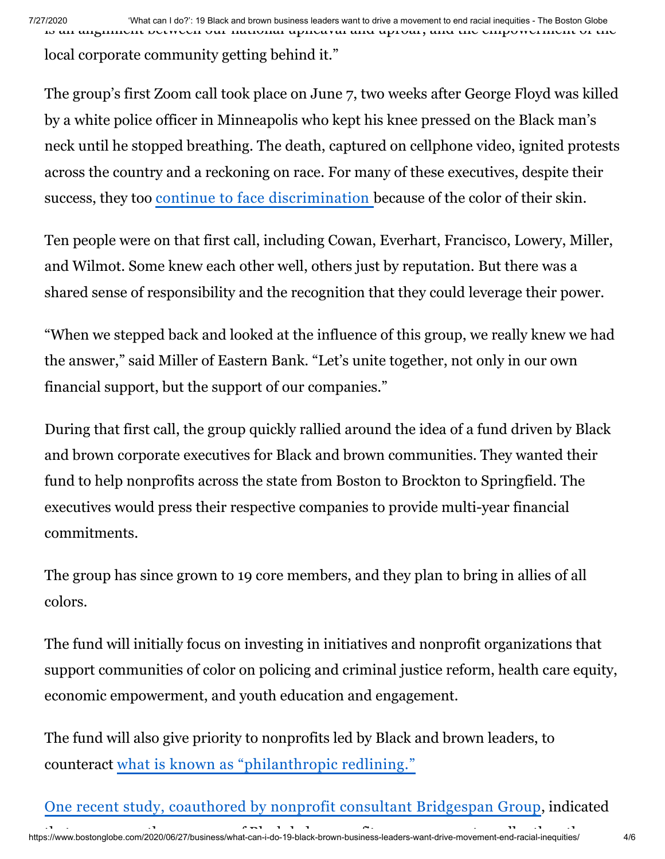local corporate community getting behind it."

The group's first Zoom call took place on June 7, two weeks after George Floyd was killed by a white police officer in Minneapolis who kept his knee pressed on the Black man's neck until he stopped breathing. The death, captured on cellphone video, ignited protests across the country and a reckoning on race. For many of these executives, despite their success, they too continue to face [discrimination](https://www.bostonglobe.com/2020/06/06/business/george-floyd-protests-bring-me-too-reckoning-race/?p1=Article_Inline_Text_Link) because of the color of their skin.

Ten people were on that first call, including Cowan, Everhart, Francisco, Lowery, Miller, and Wilmot. Some knew each other well, others just by reputation. But there was a shared sense of responsibility and the recognition that they could leverage their power.

"When we stepped back and looked at the influence of this group, we really knew we had the answer," said Miller of Eastern Bank. "Let's unite together, not only in our own financial support, but the support of our companies."

During that first call, the group quickly rallied around the idea of a fund driven by Black and brown corporate executives for Black and brown communities. They wanted their fund to help nonprofits across the state from Boston to Brockton to Springfield. The executives would press their respective companies to provide multi-year financial commitments.

The group has since grown to 19 core members, and they plan to bring in allies of all colors.

The fund will initially focus on investing in initiatives and nonprofit organizations that support communities of color on policing and criminal justice reform, health care equity, economic empowerment, and youth education and engagement.

The fund will also give priority to nonprofits led by Black and brown leaders, to counteract what is known as ["philanthropic](https://www.philanthropy.com/article/Nonprofits-Led-by-People-of/248720) redlining."

د الله عليه المسلم المسلم المسلم المسلم المسلم المسلم المسلم المسلم المسلم المسلم المسلم المسلم المسلم المسلم ا<br>https://www.bostonglobe.com/2020/06/27/business/what-can-i-do-19-black-brown-business-leaders-want-drive-move One recent study, coauthored by nonprofit consultant [Bridgespan](https://www.bridgespan.org/insights/library/philanthropy/disparities-nonprofit-funding-for-leaders-of-color) Group, indicated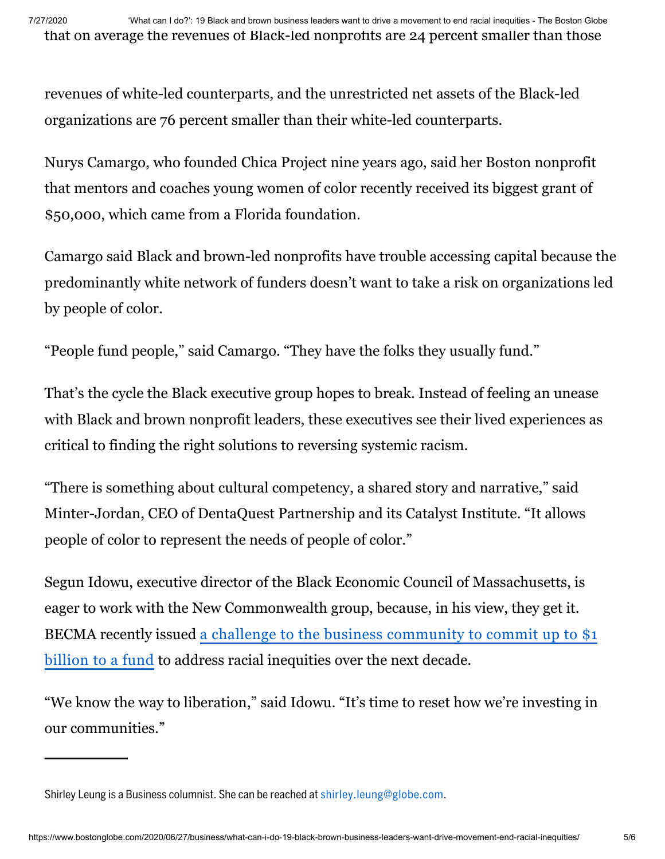revenues of white-led counterparts, and the unrestricted net assets of the Black-led organizations are 76 percent smaller than their white-led counterparts.

Nurys Camargo, who founded Chica Project nine years ago, said her Boston nonprofit that mentors and coaches young women of color recently received its biggest grant of \$50,000, which came from a Florida foundation.

Camargo said Black and brown-led nonprofits have trouble accessing capital because the predominantly white network of funders doesn't want to take a risk on organizations led by people of color.

"People fund people," said Camargo. "They have the folks they usually fund."

That's the cycle the Black executive group hopes to break. Instead of feeling an unease with Black and brown nonprofit leaders, these executives see their lived experiences as critical to finding the right solutions to reversing systemic racism.

"There is something about cultural competency, a shared story and narrative," said Minter-Jordan, CEO of DentaQuest Partnership and its Catalyst Institute. "It allows people of color to represent the needs of people of color."

Segun Idowu, executive director of the Black Economic Council of Massachusetts, is eager to work with the New Commonwealth group, because, in his view, they get it. BECMA recently issued a challenge to the business community to commit up to \$1 billion to a [fund to address racial inequities over the next decade.](https://www.bostonglobe.com/2020/06/22/business/black-economic-council-calls-1b-mass-business-community-address-racial-inequity/?p1=Article_Inline_Text_Link)

"We know the way to liberation," said Idowu. "It's time to reset how we're investing in our communities."

Shirley Leung is a Business columnist. She can be reached at [shirley.leung@globe.com](mailto:shirley.leung@globe.com).